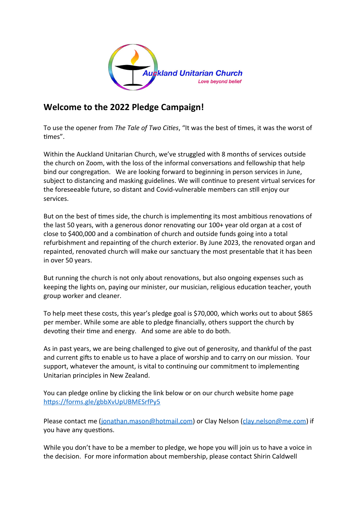

## **Welcome to the 2022 Pledge Campaign!**

To use the opener from *The Tale of Two Cities*, "It was the best of times, it was the worst of times".

Within the Auckland Unitarian Church, we've struggled with 8 months of services outside the church on Zoom, with the loss of the informal conversations and fellowship that help bind our congregation. We are looking forward to beginning in person services in June, subject to distancing and masking guidelines. We will continue to present virtual services for the foreseeable future, so distant and Covid-vulnerable members can still enjoy our services.

But on the best of times side, the church is implementing its most ambitious renovations of the last 50 years, with a generous donor renovating our 100+ year old organ at a cost of close to \$400,000 and a combination of church and outside funds going into a total refurbishment and repainting of the church exterior. By June 2023, the renovated organ and repainted, renovated church will make our sanctuary the most presentable that it has been in over 50 years.

But running the church is not only about renovations, but also ongoing expenses such as keeping the lights on, paying our minister, our musician, religious education teacher, youth group worker and cleaner.

To help meet these costs, this year's pledge goal is \$70,000, which works out to about \$865 per member. While some are able to pledge financially, others support the church by devoting their time and energy. And some are able to do both.

As in past years, we are being challenged to give out of generosity, and thankful of the past and current gifts to enable us to have a place of worship and to carry on our mission. Your support, whatever the amount, is vital to continuing our commitment to implementing Unitarian principles in New Zealand.

You can pledge online by clicking the link below or on our church website home page <https://forms.gle/gbbXvUpUBMESrfPy5>

Please contact me [\(jonathan.mason@hotmail.com\)](mailto:jonathan.mason@hotmail.com) or Clay Nelson ([clay.nelson@me.com](mailto:clay.nelson@me.com)) if you have any questions.

While you don't have to be a member to pledge, we hope you will join us to have a voice in the decision. For more information about membership, please contact Shirin Caldwell